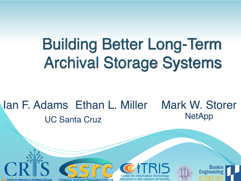# Building Better Long-Term Archival Storage Systems

#### Ian F. Adams Ethan L. Miller Mark W. Storer UC Santa Cruz **NetApp**



Research in the Interest of Society



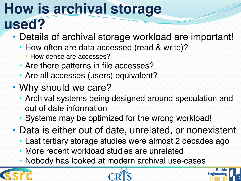#### **How is archival storage used?**

- Details of archival storage workload are important!
	- How often are data accessed (read & write)?
		- How dense are accesses?
	- Are there patterns in file accesses?
	- Are all accesses (users) equivalent?
- Why should we care?
	- Archival systems being designed around speculation and out of date information
	- Systems may be optimized for the wrong workload!
- Data is either out of date, unrelated, or nonexistent
	- Last tertiary storage studies were almost 2 decades ago
	- More recent workload studies are unrelated
	- Nobody has looked at modern archival use-cases





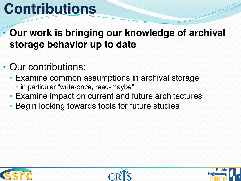## **Contributions**

#### **• Our work is bringing our knowledge of archival storage behavior up to date**

#### • Our contributions:

- Examine common assumptions in archival storage
	- in particular "write-once, read-maybe"
- Examine impact on current and future architectures
- Begin looking towards tools for future studies





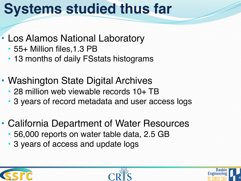### **Systems studied thus far**

- Los Alamos National Laboratory
	- 55+ Million files, 1.3 PB
	- 13 months of daily FSstats histograms
- Washington State Digital Archives • 28 million web viewable records 10+ TB
	- 3 years of record metadata and user access logs
- California Department of Water Resources
	- 56,000 reports on water table data, 2.5 GB
	- 3 years of access and update logs





4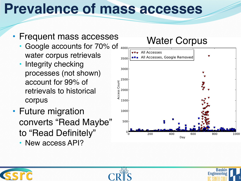### **Prevalence of mass accesses**

- Frequent mass accesses Water Corpus
	- Google accounts for 70% of 4000 water corpus retrievals
	- Integrity checking processes (not shown) account for 99% of retrievals to historical corpus
- Future migration converts "Read Maybe" to "Read Definitely"
	- New access API?







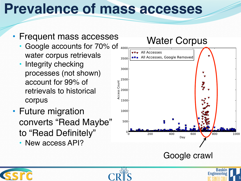### **Prevalence of mass accesses**

- Frequent mass accesses
	- Google accounts for 70% of 4000 water corpus retrievals
	- Integrity checking processes (not shown) account for 99% of retrievals to historical corpus
- Future migration converts "Read Maybe" to "Read Definitely"
	- New access API?









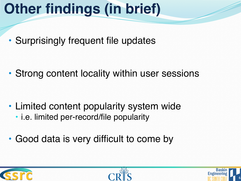# **Other findings (in brief)**

• Surprisingly frequent file updates

• Strong content locality within user sessions

- Limited content popularity system wide
	- i.e. limited per-record/file popularity
- Good data is very difficult to come by





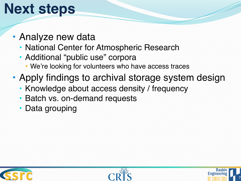# **Next steps**

- Analyze new data
	- National Center for Atmospheric Research
	- Additional "public use" corpora
		- We're looking for volunteers who have access traces
- Apply findings to archival storage system design
	- Knowledge about access density / frequency
	- Batch vs. on-demand requests
	- Data grouping





7

**Engineering**